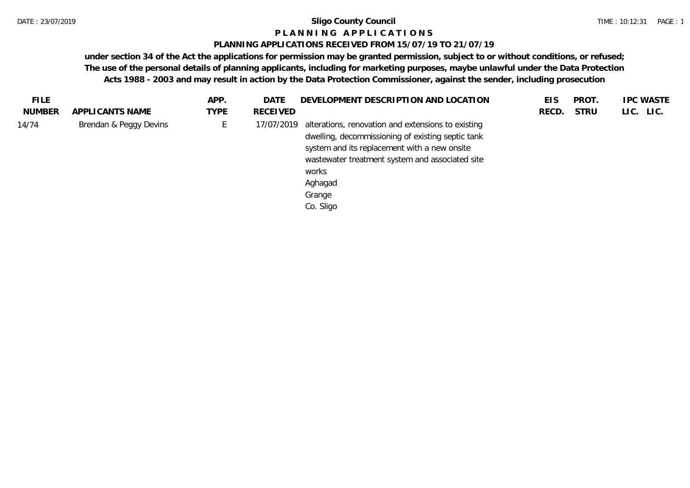#### **P L A N N I N G A P P L I C A T I O N S**

#### **PLANNING APPLICATIONS RECEIVED FROM 15/07/19 TO 21/07/19**

| <b>FILE</b>   |                        | APP.        | DATE       | DEVELOPMENT DESCRIPTION AND LOCATION                                                                                                                                                                                                                  | EIS   | PROT.       | <b>IPC WASTE</b> |
|---------------|------------------------|-------------|------------|-------------------------------------------------------------------------------------------------------------------------------------------------------------------------------------------------------------------------------------------------------|-------|-------------|------------------|
| <b>NUMBER</b> | APPLICANTS NAME        | <b>TYPE</b> | RECEIVED   |                                                                                                                                                                                                                                                       | RECD. | <b>STRU</b> | LIC. LIC.        |
| 14/74         | Brendan & Peggy Devins | └           | 17/07/2019 | alterations, renovation and extensions to existing<br>dwelling, decommissioning of existing septic tank<br>system and its replacement with a new onsite<br>wastewater treatment system and associated site<br>works<br>Aghagad<br>Grange<br>Co. Sligo |       |             |                  |
|               |                        |             |            |                                                                                                                                                                                                                                                       |       |             |                  |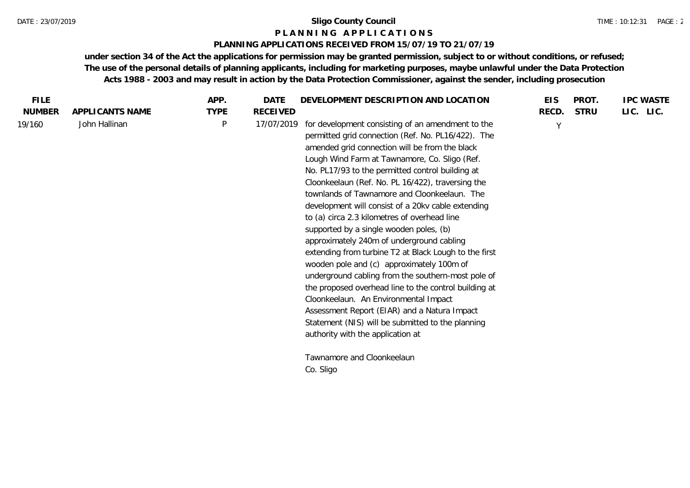#### **P L A N N I N G A P P L I C A T I O N S**

#### **PLANNING APPLICATIONS RECEIVED FROM 15/07/19 TO 21/07/19**

| <b>FILE</b>   |                 | APP.        | <b>DATE</b>     | DEVELOPMENT DESCRIPTION AND LOCATION                                                                                                                                                                                                                                                                                                                                                                                                                                                                                                                                                                                                                                                                                                                                                                                                                                                                                                                                      | <b>EIS</b> | PROT.       | <b>IPC WASTE</b> |
|---------------|-----------------|-------------|-----------------|---------------------------------------------------------------------------------------------------------------------------------------------------------------------------------------------------------------------------------------------------------------------------------------------------------------------------------------------------------------------------------------------------------------------------------------------------------------------------------------------------------------------------------------------------------------------------------------------------------------------------------------------------------------------------------------------------------------------------------------------------------------------------------------------------------------------------------------------------------------------------------------------------------------------------------------------------------------------------|------------|-------------|------------------|
| <b>NUMBER</b> | APPLICANTS NAME | <b>TYPE</b> | <b>RECEIVED</b> |                                                                                                                                                                                                                                                                                                                                                                                                                                                                                                                                                                                                                                                                                                                                                                                                                                                                                                                                                                           | RECD.      | <b>STRU</b> | LIC. LIC.        |
| 19/160        | John Hallinan   | P           | 17/07/2019      | for development consisting of an amendment to the<br>permitted grid connection (Ref. No. PL16/422). The<br>amended grid connection will be from the black<br>Lough Wind Farm at Tawnamore, Co. Sligo (Ref.<br>No. PL17/93 to the permitted control building at<br>Cloonkeelaun (Ref. No. PL 16/422), traversing the<br>townlands of Tawnamore and Cloonkeelaun. The<br>development will consist of a 20kv cable extending<br>to (a) circa 2.3 kilometres of overhead line<br>supported by a single wooden poles, (b)<br>approximately 240m of underground cabling<br>extending from turbine T2 at Black Lough to the first<br>wooden pole and (c) approximately 100m of<br>underground cabling from the southern-most pole of<br>the proposed overhead line to the control building at<br>Cloonkeelaun. An Environmental Impact<br>Assessment Report (EIAR) and a Natura Impact<br>Statement (NIS) will be submitted to the planning<br>authority with the application at | $\vee$     |             |                  |
|               |                 |             |                 | Tawnamore and Cloonkeelaun                                                                                                                                                                                                                                                                                                                                                                                                                                                                                                                                                                                                                                                                                                                                                                                                                                                                                                                                                |            |             |                  |
|               |                 |             |                 | Co. Sligo                                                                                                                                                                                                                                                                                                                                                                                                                                                                                                                                                                                                                                                                                                                                                                                                                                                                                                                                                                 |            |             |                  |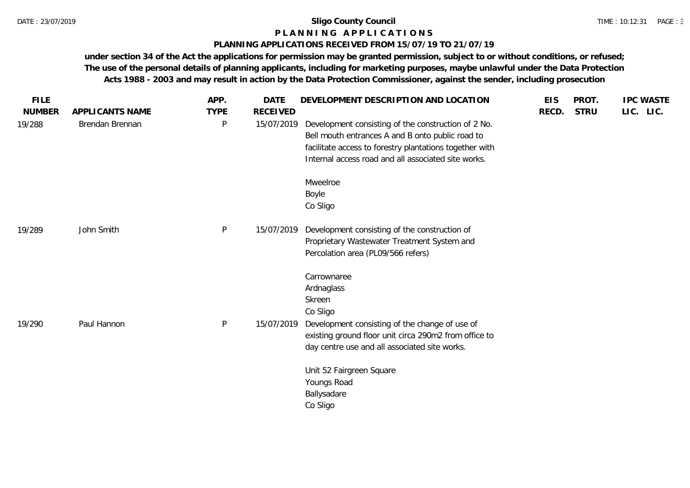### **P L A N N I N G A P P L I C A T I O N S**

#### **PLANNING APPLICATIONS RECEIVED FROM 15/07/19 TO 21/07/19**

| <b>FILE</b><br><b>NUMBER</b> | APPLICANTS NAME | APP.<br><b>TYPE</b> | <b>DATE</b><br><b>RECEIVED</b> | DEVELOPMENT DESCRIPTION AND LOCATION                                                                                                                                                                                      | <b>EIS</b><br>RECD. | PROT.<br><b>STRU</b> | <b>IPC WASTE</b><br>LIC. LIC. |
|------------------------------|-----------------|---------------------|--------------------------------|---------------------------------------------------------------------------------------------------------------------------------------------------------------------------------------------------------------------------|---------------------|----------------------|-------------------------------|
| 19/288                       | Brendan Brennan | $\mathsf{P}$        | 15/07/2019                     | Development consisting of the construction of 2 No.<br>Bell mouth entrances A and B onto public road to<br>facilitate access to forestry plantations together with<br>Internal access road and all associated site works. |                     |                      |                               |
|                              |                 |                     |                                | Mweelroe<br>Boyle<br>Co Sligo                                                                                                                                                                                             |                     |                      |                               |
| 19/289                       | John Smith      | $\mathsf{P}$        | 15/07/2019                     | Development consisting of the construction of<br>Proprietary Wastewater Treatment System and<br>Percolation area (PL09/566 refers)                                                                                        |                     |                      |                               |
|                              |                 |                     |                                | Carrownaree<br>Ardnaglass<br>Skreen<br>Co Sligo                                                                                                                                                                           |                     |                      |                               |
| 19/290                       | Paul Hannon     | $\mathsf{P}$        | 15/07/2019                     | Development consisting of the change of use of<br>existing ground floor unit circa 290m2 from office to<br>day centre use and all associated site works.                                                                  |                     |                      |                               |
|                              |                 |                     |                                | Unit 52 Fairgreen Square<br>Youngs Road<br>Ballysadare<br>Co Sligo                                                                                                                                                        |                     |                      |                               |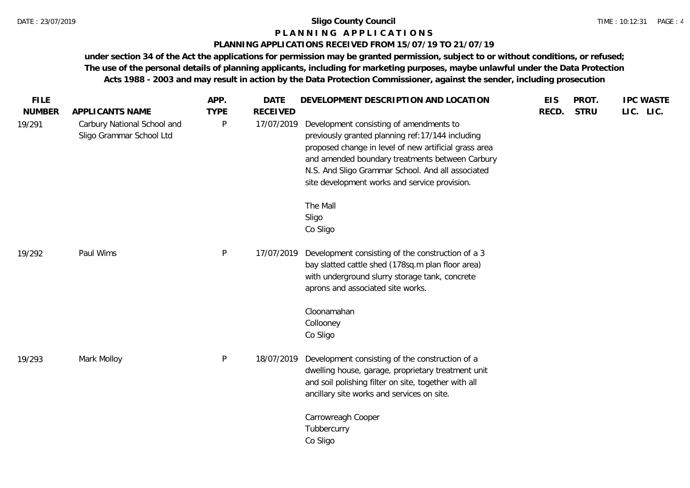#### TIME : 10:12:31 PAGE : 4

## **P L A N N I N G A P P L I C A T I O N S**

### **PLANNING APPLICATIONS RECEIVED FROM 15/07/19 TO 21/07/19**

| <b>FILE</b>   |                                                         | APP.        | <b>DATE</b>     | DEVELOPMENT DESCRIPTION AND LOCATION                                                                                                                                                                                                                                                                           | <b>EIS</b> | PROT.       | <b>IPC WASTE</b> |
|---------------|---------------------------------------------------------|-------------|-----------------|----------------------------------------------------------------------------------------------------------------------------------------------------------------------------------------------------------------------------------------------------------------------------------------------------------------|------------|-------------|------------------|
| <b>NUMBER</b> | APPLICANTS NAME                                         | <b>TYPE</b> | <b>RECEIVED</b> |                                                                                                                                                                                                                                                                                                                | RECD.      | <b>STRU</b> | LIC. LIC.        |
| 19/291        | Carbury National School and<br>Sligo Grammar School Ltd | $\sf P$     | 17/07/2019      | Development consisting of amendments to<br>previously granted planning ref: 17/144 including<br>proposed change in level of new artificial grass area<br>and amended boundary treatments between Carbury<br>N.S. And Sligo Grammar School. And all associated<br>site development works and service provision. |            |             |                  |
|               |                                                         |             |                 | The Mall<br>Sligo<br>Co Sligo                                                                                                                                                                                                                                                                                  |            |             |                  |
| 19/292        | Paul Wims                                               | P           | 17/07/2019      | Development consisting of the construction of a 3<br>bay slatted cattle shed (178sq.m plan floor area)<br>with underground slurry storage tank, concrete<br>aprons and associated site works.                                                                                                                  |            |             |                  |
|               |                                                         |             |                 | Cloonamahan<br>Collooney<br>Co Sligo                                                                                                                                                                                                                                                                           |            |             |                  |
| 19/293        | Mark Molloy                                             | P           | 18/07/2019      | Development consisting of the construction of a<br>dwelling house, garage, proprietary treatment unit<br>and soil polishing filter on site, together with all<br>ancillary site works and services on site.                                                                                                    |            |             |                  |
|               |                                                         |             |                 | Carrowreagh Cooper<br>Tubbercurry<br>Co Sligo                                                                                                                                                                                                                                                                  |            |             |                  |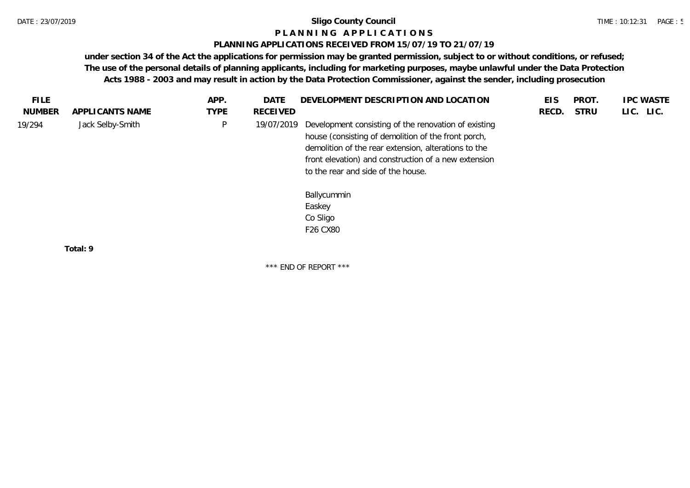#### **P L A N N I N G A P P L I C A T I O N S**

#### **PLANNING APPLICATIONS RECEIVED FROM 15/07/19 TO 21/07/19**

**under section 34 of the Act the applications for permission may be granted permission, subject to or without conditions, or refused; The use of the personal details of planning applicants, including for marketing purposes, maybe unlawful under the Data Protection Acts 1988 - 2003 and may result in action by the Data Protection Commissioner, against the sender, including prosecution**

\*\*\* END OF REPORT \*\*\*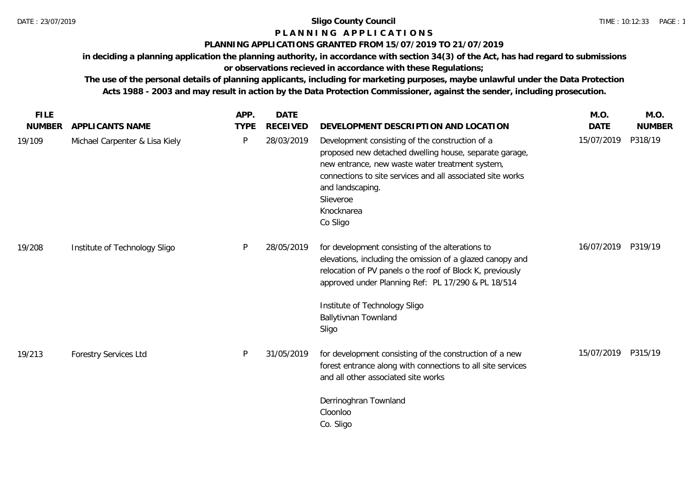### **P L A N N I N G A P P L I C A T I O N S**

### **PLANNING APPLICATIONS GRANTED FROM 15/07/2019 TO 21/07/2019**

**in deciding a planning application the planning authority, in accordance with section 34(3) of the Act, has had regard to submissions or observations recieved in accordance with these Regulations;**

**The use of the personal details of planning applicants, including for marketing purposes, maybe unlawful under the Data Protection Acts 1988 - 2003 and may result in action by the Data Protection Commissioner, against the sender, including prosecution.**

| <b>FILE</b>   |                                | APP.        | <b>DATE</b>     |                                                                                                                                                                                                                                                                                           | M.O.        | M.O.          |
|---------------|--------------------------------|-------------|-----------------|-------------------------------------------------------------------------------------------------------------------------------------------------------------------------------------------------------------------------------------------------------------------------------------------|-------------|---------------|
| <b>NUMBER</b> | APPLICANTS NAME                | <b>TYPE</b> | <b>RECEIVED</b> | DEVELOPMENT DESCRIPTION AND LOCATION                                                                                                                                                                                                                                                      | <b>DATE</b> | <b>NUMBER</b> |
| 19/109        | Michael Carpenter & Lisa Kiely | P           | 28/03/2019      | Development consisting of the construction of a<br>proposed new detached dwelling house, separate garage,<br>new entrance, new waste water treatment system,<br>connections to site services and all associated site works<br>and landscaping.<br>Slieveroe<br>Knocknarea<br>Co Sligo     | 15/07/2019  | P318/19       |
| 19/208        | Institute of Technology Sligo  | P           | 28/05/2019      | for development consisting of the alterations to<br>elevations, including the omission of a glazed canopy and<br>relocation of PV panels o the roof of Block K, previously<br>approved under Planning Ref: PL 17/290 & PL 18/514<br>Institute of Technology Sligo<br>Ballytivnan Townland | 16/07/2019  | P319/19       |
|               |                                |             |                 | Sligo                                                                                                                                                                                                                                                                                     |             |               |
| 19/213        | <b>Forestry Services Ltd</b>   | P           | 31/05/2019      | for development consisting of the construction of a new<br>forest entrance along with connections to all site services<br>and all other associated site works                                                                                                                             | 15/07/2019  | P315/19       |
|               |                                |             |                 | Derrinoghran Townland<br>Cloonloo<br>Co. Sligo                                                                                                                                                                                                                                            |             |               |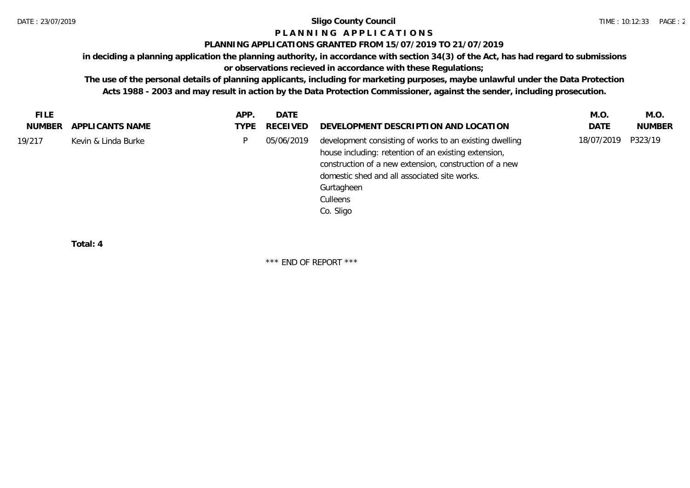# **P L A N N I N G A P P L I C A T I O N S**

### **PLANNING APPLICATIONS GRANTED FROM 15/07/2019 TO 21/07/2019**

**in deciding a planning application the planning authority, in accordance with section 34(3) of the Act, has had regard to submissions** 

### **or observations recieved in accordance with these Regulations;**

**The use of the personal details of planning applicants, including for marketing purposes, maybe unlawful under the Data Protection Acts 1988 - 2003 and may result in action by the Data Protection Commissioner, against the sender, including prosecution.**

| <b>FILE</b> |                     | APP. | DATE       |                                                                                                                                                                                                                                                                  | M.O         | M.O.          |
|-------------|---------------------|------|------------|------------------------------------------------------------------------------------------------------------------------------------------------------------------------------------------------------------------------------------------------------------------|-------------|---------------|
| NUMBER      | APPLICANTS NAME     | TYPE | RECEIVED   | DEVELOPMENT DESCRIPTION AND LOCATION                                                                                                                                                                                                                             | <b>DATE</b> | <b>NUMBER</b> |
| 19/217      | Kevin & Linda Burke | D    | 05/06/2019 | development consisting of works to an existing dwelling<br>house including: retention of an existing extension,<br>construction of a new extension, construction of a new<br>domestic shed and all associated site works.<br>Gurtagheen<br>Culleens<br>Co. Sligo | 18/07/2019  | P323/19       |
|             |                     |      |            |                                                                                                                                                                                                                                                                  |             |               |

**Total: 4**

\*\*\* END OF REPORT \*\*\*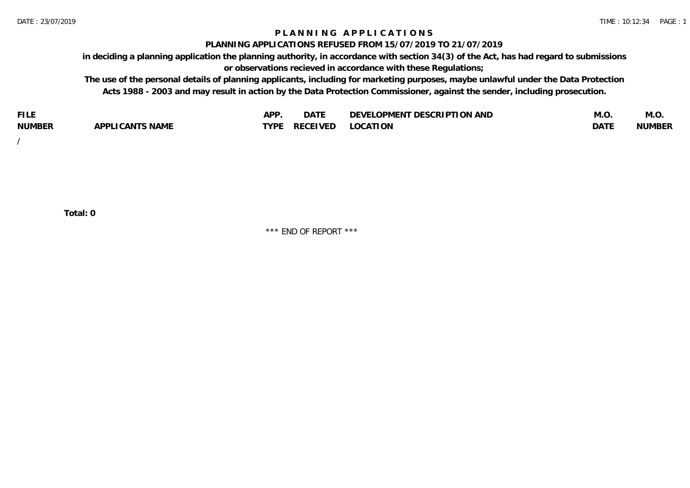### **P L A N N I N G A P P L I C A T I O N S**

#### **PLANNING APPLICATIONS REFUSED FROM 15/07/2019 TO 21/07/2019**

**in deciding a planning application the planning authority, in accordance with section 34(3) of the Act, has had regard to submissions or observations recieved in accordance with these Regulations;**

**The use of the personal details of planning applicants, including for marketing purposes, maybe unlawful under the Data Protection Acts 1988 - 2003 and may result in action by the Data Protection Commissioner, against the sender, including prosecution.**

| <b>FILE</b>   |                                                     | A DE | $\sim$ $\sim$ $\sim$<br>DA I | <b>ENT DESCRIPTION AND</b><br>$\cap$ nn.<br>)E\/F<br>. JIEN L<br>பட | IVI.U       | IVI.U         |
|---------------|-----------------------------------------------------|------|------------------------------|---------------------------------------------------------------------|-------------|---------------|
| <b>NUMBER</b> | <b>ANTS NAME</b><br>A DDI<br>$\sqrt{2}$<br>CAN<br>u | TVDL | ◡⊢                           | <b>OCATION</b>                                                      | <b>DATF</b> | <b>NUMBER</b> |

/

**Total: 0**

\*\*\* END OF REPORT \*\*\*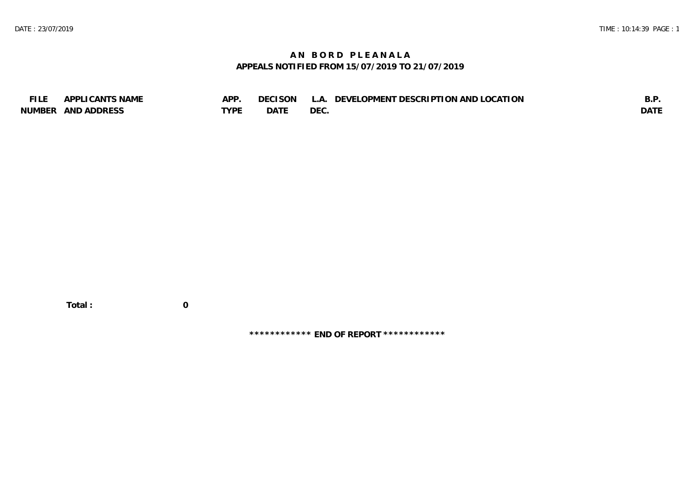### **A N B O R D P L E A N A L A APPEALS NOTIFIED FROM 15/07/2019 TO 21/07/2019**

| <b>FILE</b> | APPLICANTS NAME    | APP  | DECISON L   | L.A. DEVELOPMENT DESCRIPTION AND LOCATION | B.F         |
|-------------|--------------------|------|-------------|-------------------------------------------|-------------|
|             | NUMBER AND ADDRESS | TYPE | <b>DATE</b> | <b>DEC</b>                                | <b>DATE</b> |

 **Total : 0**

**\*\*\*\*\*\*\*\*\*\*\*\* END OF REPORT \*\*\*\*\*\*\*\*\*\*\*\***